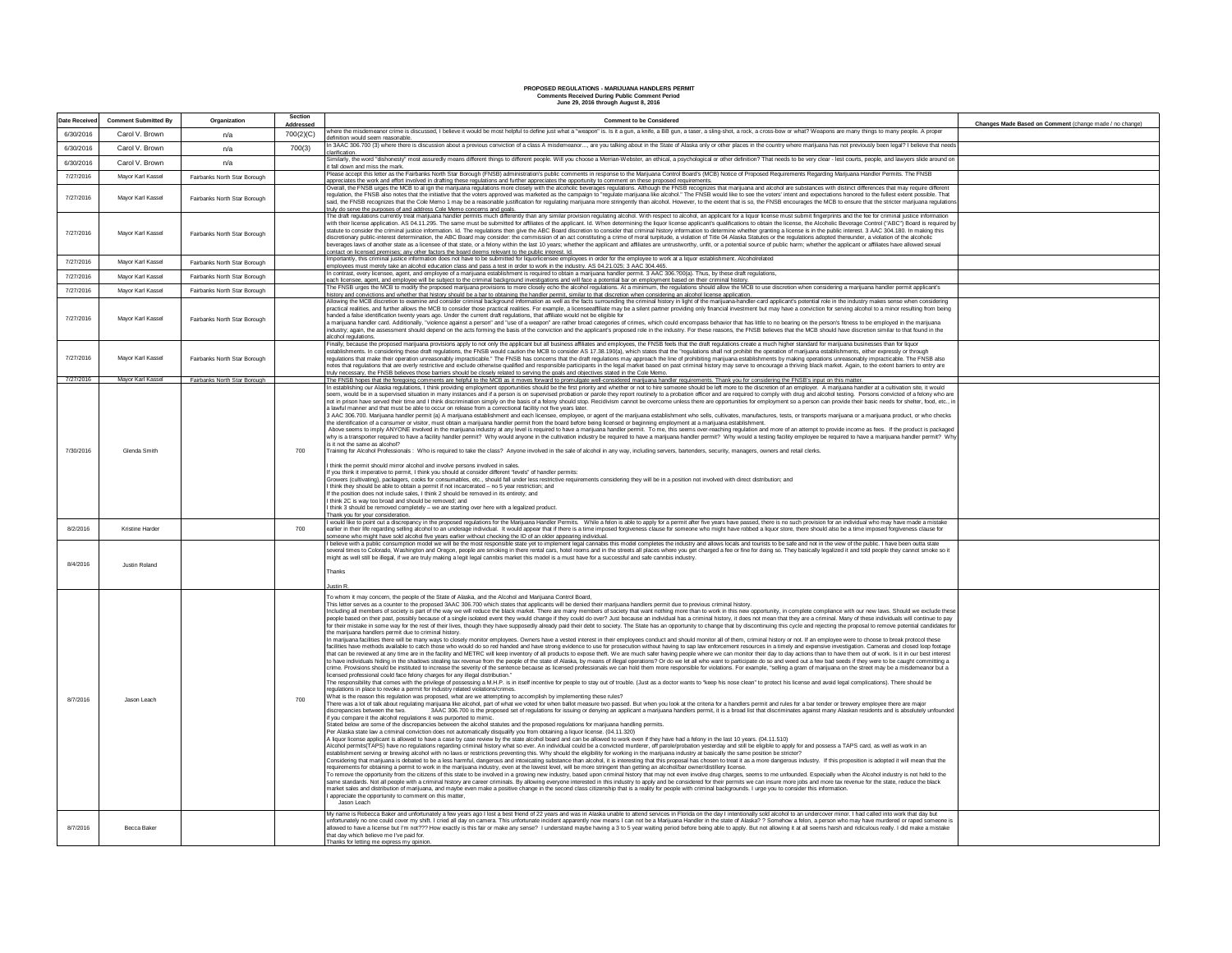## **Comments Received During Public Comment Period PROPOSED REGULATIONS - MARIJUANA HANDLERS PERMIT June 29, 2016 through August 8, 2016**

| <b>Date Received</b> | <b>Comment Submitted By</b> | Organization                 | Section<br>Addressed | <b>Comment to be Considered</b>                                                                                                                                                                                                                                                                                                                                                                                                                                                                                                                                                                                                                                                                                                                                                                                                                                                                                                                                                                                                                                                                                                                                                                                                                                                                                                                                                                                                                                                                                                                                                                                                                                                                                                                                                                                                                                                                                                                                                                                                                                                                                                                                                                                                                                                                                                                                                                                                                                                                                                                                                                                                                                                                                                                                                                                                                                                                                                                                                                                                                                                                                                                                                                                                                                                                                                                                                                                                                                                                                                                                                                                                                                                                                                                                                                                                                                                                                                                                                                                                                                                                                                                                                                                                                                                                                                                                                                                                                                                                                                                                                                                                                                                                                                                                                                                                                                                                                                                                                                                                                                                                                                                                                                                                                                                                                                                                                                                                                                                                                                                                                                                                                              | Changes Made Based on Comment (change made / no change) |
|----------------------|-----------------------------|------------------------------|----------------------|--------------------------------------------------------------------------------------------------------------------------------------------------------------------------------------------------------------------------------------------------------------------------------------------------------------------------------------------------------------------------------------------------------------------------------------------------------------------------------------------------------------------------------------------------------------------------------------------------------------------------------------------------------------------------------------------------------------------------------------------------------------------------------------------------------------------------------------------------------------------------------------------------------------------------------------------------------------------------------------------------------------------------------------------------------------------------------------------------------------------------------------------------------------------------------------------------------------------------------------------------------------------------------------------------------------------------------------------------------------------------------------------------------------------------------------------------------------------------------------------------------------------------------------------------------------------------------------------------------------------------------------------------------------------------------------------------------------------------------------------------------------------------------------------------------------------------------------------------------------------------------------------------------------------------------------------------------------------------------------------------------------------------------------------------------------------------------------------------------------------------------------------------------------------------------------------------------------------------------------------------------------------------------------------------------------------------------------------------------------------------------------------------------------------------------------------------------------------------------------------------------------------------------------------------------------------------------------------------------------------------------------------------------------------------------------------------------------------------------------------------------------------------------------------------------------------------------------------------------------------------------------------------------------------------------------------------------------------------------------------------------------------------------------------------------------------------------------------------------------------------------------------------------------------------------------------------------------------------------------------------------------------------------------------------------------------------------------------------------------------------------------------------------------------------------------------------------------------------------------------------------------------------------------------------------------------------------------------------------------------------------------------------------------------------------------------------------------------------------------------------------------------------------------------------------------------------------------------------------------------------------------------------------------------------------------------------------------------------------------------------------------------------------------------------------------------------------------------------------------------------------------------------------------------------------------------------------------------------------------------------------------------------------------------------------------------------------------------------------------------------------------------------------------------------------------------------------------------------------------------------------------------------------------------------------------------------------------------------------------------------------------------------------------------------------------------------------------------------------------------------------------------------------------------------------------------------------------------------------------------------------------------------------------------------------------------------------------------------------------------------------------------------------------------------------------------------------------------------------------------------------------------------------------------------------------------------------------------------------------------------------------------------------------------------------------------------------------------------------------------------------------------------------------------------------------------------------------------------------------------------------------------------------------------------------------------------------------------------------------------------------------------------------------|---------------------------------------------------------|
| 6/30/2016            | Carol V. Brown              | n/a                          | 700(2)(C)            | where the misdemeanor crime is discussed, I believe it would be most helpful to define just what a "weapon" is. Is it a gun, a knife, a BB gun, a taser, a sling-shot, a rock, a cross-bow or what? Weapons are many things to<br>lefinition would seem reasonable                                                                                                                                                                                                                                                                                                                                                                                                                                                                                                                                                                                                                                                                                                                                                                                                                                                                                                                                                                                                                                                                                                                                                                                                                                                                                                                                                                                                                                                                                                                                                                                                                                                                                                                                                                                                                                                                                                                                                                                                                                                                                                                                                                                                                                                                                                                                                                                                                                                                                                                                                                                                                                                                                                                                                                                                                                                                                                                                                                                                                                                                                                                                                                                                                                                                                                                                                                                                                                                                                                                                                                                                                                                                                                                                                                                                                                                                                                                                                                                                                                                                                                                                                                                                                                                                                                                                                                                                                                                                                                                                                                                                                                                                                                                                                                                                                                                                                                                                                                                                                                                                                                                                                                                                                                                                                                                                                                                           |                                                         |
| 6/30/2016            | Carol V. Brown              | n/a                          | 700(3)               | In 3AAC 306.700 (3) where there is discussion about a previous conviction of a class A misdemeanor , are you talking about in the State of Alaska only or other places in the country where marijuana has not previously be<br>larification.                                                                                                                                                                                                                                                                                                                                                                                                                                                                                                                                                                                                                                                                                                                                                                                                                                                                                                                                                                                                                                                                                                                                                                                                                                                                                                                                                                                                                                                                                                                                                                                                                                                                                                                                                                                                                                                                                                                                                                                                                                                                                                                                                                                                                                                                                                                                                                                                                                                                                                                                                                                                                                                                                                                                                                                                                                                                                                                                                                                                                                                                                                                                                                                                                                                                                                                                                                                                                                                                                                                                                                                                                                                                                                                                                                                                                                                                                                                                                                                                                                                                                                                                                                                                                                                                                                                                                                                                                                                                                                                                                                                                                                                                                                                                                                                                                                                                                                                                                                                                                                                                                                                                                                                                                                                                                                                                                                                                                 |                                                         |
| 6/30/2016            | Carol V. Brown              | n/a                          |                      | Similarly, the word "dishonesty" most assuredly means different things to different people. Will you choose a Merrian-Webster, an ethical, a psychological or other definition? That needs to be very clear - lest courts, peo<br>fall down and miss the mark                                                                                                                                                                                                                                                                                                                                                                                                                                                                                                                                                                                                                                                                                                                                                                                                                                                                                                                                                                                                                                                                                                                                                                                                                                                                                                                                                                                                                                                                                                                                                                                                                                                                                                                                                                                                                                                                                                                                                                                                                                                                                                                                                                                                                                                                                                                                                                                                                                                                                                                                                                                                                                                                                                                                                                                                                                                                                                                                                                                                                                                                                                                                                                                                                                                                                                                                                                                                                                                                                                                                                                                                                                                                                                                                                                                                                                                                                                                                                                                                                                                                                                                                                                                                                                                                                                                                                                                                                                                                                                                                                                                                                                                                                                                                                                                                                                                                                                                                                                                                                                                                                                                                                                                                                                                                                                                                                                                                |                                                         |
| 7/27/2016            | Mavor Karl Kassel           | Fairbanks North Star Borough |                      | lease accept this letter as the Fairbanks North Star Borough (FNSB) administration's public comments in response to the Marijuana Control Board's (MCB) Notice of Proposed Requirements Regarding Marijuana Handler Permits. T<br>appreciates the work and effort involved in drafting these regulations and further appreciates the opportunity to comment on these proposed requirements.                                                                                                                                                                                                                                                                                                                                                                                                                                                                                                                                                                                                                                                                                                                                                                                                                                                                                                                                                                                                                                                                                                                                                                                                                                                                                                                                                                                                                                                                                                                                                                                                                                                                                                                                                                                                                                                                                                                                                                                                                                                                                                                                                                                                                                                                                                                                                                                                                                                                                                                                                                                                                                                                                                                                                                                                                                                                                                                                                                                                                                                                                                                                                                                                                                                                                                                                                                                                                                                                                                                                                                                                                                                                                                                                                                                                                                                                                                                                                                                                                                                                                                                                                                                                                                                                                                                                                                                                                                                                                                                                                                                                                                                                                                                                                                                                                                                                                                                                                                                                                                                                                                                                                                                                                                                                  |                                                         |
| 7/27/2016            | Mayor Karl Kassel           | Fairbanks North Star Borough |                      | Overall, the FNSB urges the MCB to al ign the marijuana regulations more closely with the alcoholic beverages regulations. Although the FNSB recognizes that marijuana and alcohol are substances with distinct different est<br>egulation, the FNSB also notes that the initiative that the voters approved was marketed as the campaign to "regulate marijuana like alcohol." The FNSB would like to see the voters' intent and expectations honored to the f<br>said, the FNSB recognizes that the Cole Memo 1 may be a reasonable justification for regulating marijuana more stringently than alcohol. However, to the extent that is so, the FNSB encourages the MCB to ensure that the str<br>ruly do serve the purposes of and address Cole Memo concerns and goals.                                                                                                                                                                                                                                                                                                                                                                                                                                                                                                                                                                                                                                                                                                                                                                                                                                                                                                                                                                                                                                                                                                                                                                                                                                                                                                                                                                                                                                                                                                                                                                                                                                                                                                                                                                                                                                                                                                                                                                                                                                                                                                                                                                                                                                                                                                                                                                                                                                                                                                                                                                                                                                                                                                                                                                                                                                                                                                                                                                                                                                                                                                                                                                                                                                                                                                                                                                                                                                                                                                                                                                                                                                                                                                                                                                                                                                                                                                                                                                                                                                                                                                                                                                                                                                                                                                                                                                                                                                                                                                                                                                                                                                                                                                                                                                                                                                                                                 |                                                         |
| 7/27/2016            | Mavor Karl Kassel           | Fairbanks North Star Borough |                      | The draft regulations currently treat marijuana handler permits much differently than any similar provision regulating alcohol. With respect to alcohol, an applicant for a liquor license must submit fingerprints and the fe<br>with their license application. AS 04.11.295. The same must be submitted for affiliates of the applicant. Id. When determining the liquor license applicant's qualifications to obtain the license, the Alcoholic Beverage Con<br>statute to consider the criminal justice information. Id. The regulations then give the ABC Board discretion to consider that criminal history information to determine whether granting a license is in the public interest.                                                                                                                                                                                                                                                                                                                                                                                                                                                                                                                                                                                                                                                                                                                                                                                                                                                                                                                                                                                                                                                                                                                                                                                                                                                                                                                                                                                                                                                                                                                                                                                                                                                                                                                                                                                                                                                                                                                                                                                                                                                                                                                                                                                                                                                                                                                                                                                                                                                                                                                                                                                                                                                                                                                                                                                                                                                                                                                                                                                                                                                                                                                                                                                                                                                                                                                                                                                                                                                                                                                                                                                                                                                                                                                                                                                                                                                                                                                                                                                                                                                                                                                                                                                                                                                                                                                                                                                                                                                                                                                                                                                                                                                                                                                                                                                                                                                                                                                                                            |                                                         |
|                      |                             |                              |                      | discretionary public-interest determination, the ABC Board may consider: the commission of an act constituting a crime of moral turpitude, a violation of Title 04 Alaska Statures or the regulations adopted thereunder, a vi<br>everages laws of another state as a licensee of that state, or a felony within the last 10 years; whether the applicant and affiliates are untrustworthy, unfit, or a potential source of public harm; whether the applicant o<br>contact on licensed premises; any other factors the board deems relevant to the public interest. Id.                                                                                                                                                                                                                                                                                                                                                                                                                                                                                                                                                                                                                                                                                                                                                                                                                                                                                                                                                                                                                                                                                                                                                                                                                                                                                                                                                                                                                                                                                                                                                                                                                                                                                                                                                                                                                                                                                                                                                                                                                                                                                                                                                                                                                                                                                                                                                                                                                                                                                                                                                                                                                                                                                                                                                                                                                                                                                                                                                                                                                                                                                                                                                                                                                                                                                                                                                                                                                                                                                                                                                                                                                                                                                                                                                                                                                                                                                                                                                                                                                                                                                                                                                                                                                                                                                                                                                                                                                                                                                                                                                                                                                                                                                                                                                                                                                                                                                                                                                                                                                                                                                     |                                                         |
| 7/27/2016            | Mayor Karl Kassel           | Fairbanks North Star Borough |                      | mportantly, this criminal justice information does not have to be submitted for liquorlicensee employees in order for the employee to work at a liquor establishment. Alcoholrelated<br>mployees must merely take an alcohol education class and pass a test in order to work in the industry. AS 04.21.025; 3 AAC 304.465.<br>n contrast, every licensee, agent, and employee of a marijuana establishment is required to obtain a marijuana handler permit. 3 AAC 306.?00(a). Thus, by these draft regulations,                                                                                                                                                                                                                                                                                                                                                                                                                                                                                                                                                                                                                                                                                                                                                                                                                                                                                                                                                                                                                                                                                                                                                                                                                                                                                                                                                                                                                                                                                                                                                                                                                                                                                                                                                                                                                                                                                                                                                                                                                                                                                                                                                                                                                                                                                                                                                                                                                                                                                                                                                                                                                                                                                                                                                                                                                                                                                                                                                                                                                                                                                                                                                                                                                                                                                                                                                                                                                                                                                                                                                                                                                                                                                                                                                                                                                                                                                                                                                                                                                                                                                                                                                                                                                                                                                                                                                                                                                                                                                                                                                                                                                                                                                                                                                                                                                                                                                                                                                                                                                                                                                                                                            |                                                         |
| 7/27/2016            | Mavor Karl Kassel           | Fairbanks North Star Borough |                      | ach licensee, agent, and employee will be subject to the criminal background investigations and will face a potential bar on employment based on their criminal history<br>The FNSB urges the MCB to modify the proposed marijuana provisions to more closely echo the alcohol regulations. At a minimum, the regulations should allow the MCB to use discretion when considering a marijuana handler per                                                                                                                                                                                                                                                                                                                                                                                                                                                                                                                                                                                                                                                                                                                                                                                                                                                                                                                                                                                                                                                                                                                                                                                                                                                                                                                                                                                                                                                                                                                                                                                                                                                                                                                                                                                                                                                                                                                                                                                                                                                                                                                                                                                                                                                                                                                                                                                                                                                                                                                                                                                                                                                                                                                                                                                                                                                                                                                                                                                                                                                                                                                                                                                                                                                                                                                                                                                                                                                                                                                                                                                                                                                                                                                                                                                                                                                                                                                                                                                                                                                                                                                                                                                                                                                                                                                                                                                                                                                                                                                                                                                                                                                                                                                                                                                                                                                                                                                                                                                                                                                                                                                                                                                                                                                    |                                                         |
| 7/27/2016            | Mayor Karl Kassel           | Fairbanks North Star Borough |                      | history and convictions and whether that history should be a bar to obtaining the handler permit, similar to that discretion when considering an alcohol license application.                                                                                                                                                                                                                                                                                                                                                                                                                                                                                                                                                                                                                                                                                                                                                                                                                                                                                                                                                                                                                                                                                                                                                                                                                                                                                                                                                                                                                                                                                                                                                                                                                                                                                                                                                                                                                                                                                                                                                                                                                                                                                                                                                                                                                                                                                                                                                                                                                                                                                                                                                                                                                                                                                                                                                                                                                                                                                                                                                                                                                                                                                                                                                                                                                                                                                                                                                                                                                                                                                                                                                                                                                                                                                                                                                                                                                                                                                                                                                                                                                                                                                                                                                                                                                                                                                                                                                                                                                                                                                                                                                                                                                                                                                                                                                                                                                                                                                                                                                                                                                                                                                                                                                                                                                                                                                                                                                                                                                                                                                |                                                         |
| 7/27/2016            | Mavor Karl Kassel           | Fairbanks North Star Borough |                      | Allowing the MCB discretion to examine and consider criminal background information as well as the facts surrounding the criminal history in light of the marijuana-handler-card applicant's potential role in the industry ma<br>practical realities, and further allows the MCB to consider those practical realities. For example, a licenseeaffiliate may be a silent partner providing only financial investment but may have a conviction for serving alco<br>handed a false identification twenty years ago. Under the current draft regulations, that affiliate would not be eligible for<br>a manjuana handler card. Additionally, "violence against a person" and "use of a weapon" are rather broad categories of crimes, which could encompass behavior that has little to no bearing on the person's fitness to be emp<br>industry; again, the assessment should depend on the acts forming the basis of the conviction and the applicant's proposed role in the industry. For these reasons, the FNSB believes that the MCB should have discretion simi<br>alcohol regulations.                                                                                                                                                                                                                                                                                                                                                                                                                                                                                                                                                                                                                                                                                                                                                                                                                                                                                                                                                                                                                                                                                                                                                                                                                                                                                                                                                                                                                                                                                                                                                                                                                                                                                                                                                                                                                                                                                                                                                                                                                                                                                                                                                                                                                                                                                                                                                                                                                                                                                                                                                                                                                                                                                                                                                                                                                                                                                                                                                                                                                                                                                                                                                                                                                                                                                                                                                                                                                                                                                                                                                                                                                                                                                                                                                                                                                                                                                                                                                                                                                                                                                                                                                                                                                                                                                                                                                                                                                                                                                                                                                                |                                                         |
| 7/27/2016            | Mayor Karl Kassel           | Fairbanks North Star Borough |                      | Finally, because the proposed marijuana provisions apply to not only the applicant but all business affiliates and employees, the FNSB feels that the draft regulations create a much higher standard for marijuana businesses<br>establishments. In considering these draft regulations, the FNSB would caution the MCB to consider AS 17.38.190(a), which states that the "regulations shall not prohibit the operation of marijuana establishments, either ex<br>regulations that make their operation unreasonably impracticable." The FNSB has concerns that the draft regulations may approach the line of prohibiting marijuana establishments by making operations unreasonably impractica<br>octes that regulations that are overly restrictive and exclude otherwise qualified and responsible participants in the legal market based on past criminal history may serve to encourage a thriving black market. Again, to t<br>ruly necessary, the FNSB believes those barriers should be closely related to serving the goals and objectives stated in the Cole Memo.                                                                                                                                                                                                                                                                                                                                                                                                                                                                                                                                                                                                                                                                                                                                                                                                                                                                                                                                                                                                                                                                                                                                                                                                                                                                                                                                                                                                                                                                                                                                                                                                                                                                                                                                                                                                                                                                                                                                                                                                                                                                                                                                                                                                                                                                                                                                                                                                                                                                                                                                                                                                                                                                                                                                                                                                                                                                                                                                                                                                                                                                                                                                                                                                                                                                                                                                                                                                                                                                                                                                                                                                                                                                                                                                                                                                                                                                                                                                                                                                                                                                                                                                                                                                                                                                                                                                                                                                                                                                                                                                                                              |                                                         |
| 7/27/2016            | Mayor Karl Kassel           | Fairbanks North Star Borough |                      | The FNSB hopes that the foregoing comments are helpful to the MCB as it moves forward to promulgate well-considered marijuana handler requirements. Thank you for considering the FNSB's input on this matter.<br>n establishing our Alaska regulations, I think providing employment opportunities should be the first priority and whether or not to hire someone should be left more to the discretion of an employer. A marijuana handler at                                                                                                                                                                                                                                                                                                                                                                                                                                                                                                                                                                                                                                                                                                                                                                                                                                                                                                                                                                                                                                                                                                                                                                                                                                                                                                                                                                                                                                                                                                                                                                                                                                                                                                                                                                                                                                                                                                                                                                                                                                                                                                                                                                                                                                                                                                                                                                                                                                                                                                                                                                                                                                                                                                                                                                                                                                                                                                                                                                                                                                                                                                                                                                                                                                                                                                                                                                                                                                                                                                                                                                                                                                                                                                                                                                                                                                                                                                                                                                                                                                                                                                                                                                                                                                                                                                                                                                                                                                                                                                                                                                                                                                                                                                                                                                                                                                                                                                                                                                                                                                                                                                                                                                                                             |                                                         |
| 7/30/2016            | Glenda Smith                |                              | 700                  | sem, would be in a supervised situation in many instances and if a person is on supervised probation or parole they report routinely to a probation officer and are required to comply with drug and alcohol testing. Persons<br>not in prison have served their time and I think discrimination simply on the basis of a felony should stop. Recidivism cannot be overcome unless there are opportunities for employment so a person can provide their basic n<br>a lawful manner and that must be able to occur on release from a correctional facility not five vears later.<br>3 AAC 306.700. Marijuana handler permit (a) A marijuana establishment and each licensee, employee, or agent of the marijuana establishment who sells, cultivates, manufactures, tests, or transports marijuana or a marijuana<br>the identification of a consumer or visitor, must obtain a marijuana handler permit from the board before being licensed or beginning employment at a marijuana establishment.<br>Above seems to imply ANYONE involved in the marijuana industry at any level is required to have a marijuana handler permit. To me, this seems over-reaching regulation and more of an attempt to provide income as fees. If th<br>why is a transporter required to have a facility handler permit? Why would anyone in the cultivation industry be required to have a marijuana handler permit? Why would a testing facility employee be required to have a mari<br>s it not the same as alcohol?<br>Training for Alcohol Professionals : Who is required to take the class? Anyone involved in the sale of alcohol in any way, including servers, bartenders, security, managers, owners and retail clerks.<br>think the permit should mirror alcohol and involve persons involved in sales.<br>If you think it imperative to permit. I think you should at consider different "levels" of handler permits:<br>Browers (cultivating), packagers, cooks for consumables, etc., should fall under less restrictive requirements considering they will be in a position not involved with direct distribution; and<br>think they should be able to obtain a permit if not incarcerated - no 5 year restriction; and<br>the position does not include sales, I think 2 should be removed in its entirety; and<br>think 2C is way too broad and should be removed; and<br>think 3 should be removed completely - we are starting over here with a legalized product.<br>hank you for your consideration.                                                                                                                                                                                                                                                                                                                                                                                                                                                                                                                                                                                                                                                                                                                                                                                                                                                                                                                                                                                                                                                                                                                                                                                                                                                                                                                                                                                                                                                                                                                                                                                                                                                                                                                                                                                                                                                                                                                                                                                                                                                                                                                                                                                                                                                                                                                                                                                                                                                                                                                                                                                                                                                                                                                                                                                                                                                                                                                                                                                                                                                                                                                                                   |                                                         |
| 8/2/2016             | Kristine Harder             |                              | 700                  | would like to point out a discrepancy in the proposed regulations for the Marijuana Handler Permits. While a felon is able to apply for a permit after five years have passed, there is no such provision for an individual wh<br>earlier in their life regarding selling alcohol to an underage individual. It would appear that if there is a time imposed forgiveness clause for someone who might have robbed a liquor store, there should also be a time im<br>someone who might have sold alcohol five years earlier without checking the ID of an older appearing individual.                                                                                                                                                                                                                                                                                                                                                                                                                                                                                                                                                                                                                                                                                                                                                                                                                                                                                                                                                                                                                                                                                                                                                                                                                                                                                                                                                                                                                                                                                                                                                                                                                                                                                                                                                                                                                                                                                                                                                                                                                                                                                                                                                                                                                                                                                                                                                                                                                                                                                                                                                                                                                                                                                                                                                                                                                                                                                                                                                                                                                                                                                                                                                                                                                                                                                                                                                                                                                                                                                                                                                                                                                                                                                                                                                                                                                                                                                                                                                                                                                                                                                                                                                                                                                                                                                                                                                                                                                                                                                                                                                                                                                                                                                                                                                                                                                                                                                                                                                                                                                                                                         |                                                         |
| 8/4/2016             | <b>Justin Roland</b>        |                              |                      | believe with a public consumption model we will be the most responsible state yet to implement legal cannabis this model completes the industry and allows locals and tourists to be safe and not in the view of the public. I<br>several times to Colorado, Washington and Oregon, people are smoking in there rental cars, hotel rooms and in the streets all places where you get charged a fee or fine for doing so. They basically legalized it and told pe<br>night as well still be illegal, if we are truly making a legit legal cannbis market this model is a must have for a successful and safe cannbis industry.<br>Thanks<br>uetin R                                                                                                                                                                                                                                                                                                                                                                                                                                                                                                                                                                                                                                                                                                                                                                                                                                                                                                                                                                                                                                                                                                                                                                                                                                                                                                                                                                                                                                                                                                                                                                                                                                                                                                                                                                                                                                                                                                                                                                                                                                                                                                                                                                                                                                                                                                                                                                                                                                                                                                                                                                                                                                                                                                                                                                                                                                                                                                                                                                                                                                                                                                                                                                                                                                                                                                                                                                                                                                                                                                                                                                                                                                                                                                                                                                                                                                                                                                                                                                                                                                                                                                                                                                                                                                                                                                                                                                                                                                                                                                                                                                                                                                                                                                                                                                                                                                                                                                                                                                                                           |                                                         |
| 8/7/2016             | Jason Leach                 |                              | 700                  | o whom it may concern, the people of the State of Alaska, and the Alcohol and Marijuana Control Board,<br>This letter serves as a counter to the proposed 3AAC 306.700 which states that applicants will be denied their marijuana handlers permit due to previous criminal history.<br>Including all members of society is part of the way we will reduce the black market. There are many members of society that want nothing more than to work in this new opportunity, in complete compliance with our new laws.<br>eople based on their past, possibly because of a single isolated event they would change if they could do over? Just because an individual has a criminal history, it does not mean that they are a criminal. Many of these in<br>for their mistake in some way for the rest of their lives, though they have supposedly already paid their debt to society. The State has an opportunity to change that by discontinuing this cycle and rejecting the proposal<br>the mariiuana handlers permit due to criminal history.<br>In marijuana facilities there will be many ways to closely monitor employees. Owners have a vested interest in their employees conduct and should monitor all of them, criminal history or not. If an employee were to choose<br>facilities have methods available to catch those who would do so red handed and have strong evidence to use for prosecution without having to sap law enforcement resources in a timely and expensive investigation. Cameras a<br>that can be reviewed at any time are in the facility and METRC will keep inventory of all products to expose theft. We are much safer having people where we can monitor their day to day actions than to have them out of wor<br>to have individuals hiding in the shadows stealing tax revenue from the people of the state of Alaska, by means of illegal operations? Or do we let all who want to participate do so and weed out a few bad seeds if they wer<br>rime. Provisions should be instituted to increase the severity of the sentence because as licensed professionals we can hold them more responsible for violations. For example, "selling a gram of manijuana on the street may<br>censed professional could face felony charges for any illegal distribution."<br>The responsibility that comes with the privilege of possessing a M.H.P. is in itself incentive for people to stay out of trouble. (Just as a doctor wants to "keep his nose clean" to protect his license and avoid legal comp<br>requisitions in place to revoke a permit for industry related violations/crimes.<br>What is the reason this regulation was proposed, what are we attempting to accomplish by implementing these rules?<br>There was a lot of talk about regulating marijuana like alcohol, part of what we voted for when ballot measure two passed. But when you look at the criteria for a handlers permit and rules for a bar tender or brewery emplo<br>3AAC 306.700 is the proposed set of regulations for issuing or denying an applicant a marijuana handlers permit, it is a broad list that discriminates against many Alaskan residents and is absolutely unfounded<br>discrepancies between the two.<br>f you compare it the alcohol regulations it was purported to mimic.<br>stated below are some of the discrepancies between the alcohol statutes and the proposed regulations for marijuana handling permits.<br>Per Alaska state law a criminal conviction does not automatically disqualify you from obtaining a liquor license. (04.11.320)<br>A liquor license applicant is allowed to have a case by case review by the state alcohol board and can be allowed to work even if they have had a felony in the last 10 years. (04.11.510)<br>Alcohol permits(TAPS) have no regulations regarding criminal history what so ever. An individual could be a convicted murderer, off parole/probation yesterday and still be eligible to apply for and possess a TAPS card, as<br>establishment serving or brewing alcohol with no laws or restrictions preventing this. Why should the eligibility for working in the marijuana industry at basically the same position be stricter?<br>Considering that marijuana is debated to be a less harmful, dangerous and intoxicating substance than alcohol, it is interesting that this proposal has chosen to treat it as a more dangerous industry. If this proposition i<br>requirements for obtaining a permit to work in the manjuana industry, even at the lowest level, will be more stringent than getting an alcohol/bar owner/distillery license.<br>To remove the opportunity from the citizens of this state to be involved in a growing new industry, based upon criminal history that may not even involve drug charges, seems to me unfounded. Especially when the Alcohol ind<br>same standards. Not all people with a criminal history are career criminals. By allowing everyone interested in this industry to apply and be considered for their permits we can insure more jobs and more tax revenue for th<br>narket sales and distribution of marijuana, and maybe even make a positive change in the second class citizenship that is a reality for people with criminal backgrounds. I urge you to consider this information.<br>appreciate the opportunity to comment on this matter,<br>Jason Leach<br>My name is Rebecca Baker and unfortunately a few years ago I lost a best friend of 22 years and was in Alaska unable to attend services in Florida on the day I intentionally sold alcohol to an undercover minor. I had calle |                                                         |
| 8/7/2016             | Becca Baker                 |                              |                      | unfortunately no one could cover my shift. I cried all day on camera. This unfortunate incident apparently now means I can not be a Marijuana Handler in the state of Alaska? ? Somehow a felon, a person who may have murdere<br>allowed to have a license but I'm not??? How exactly is this fair or make any sense? I understand maybe having a 3 to 5 year waiting period before being able to apply. But not allowing it at all seems harsh and ridiculous<br>that day which believe me I've paid for.<br>Thanks for letting me express my opinion.                                                                                                                                                                                                                                                                                                                                                                                                                                                                                                                                                                                                                                                                                                                                                                                                                                                                                                                                                                                                                                                                                                                                                                                                                                                                                                                                                                                                                                                                                                                                                                                                                                                                                                                                                                                                                                                                                                                                                                                                                                                                                                                                                                                                                                                                                                                                                                                                                                                                                                                                                                                                                                                                                                                                                                                                                                                                                                                                                                                                                                                                                                                                                                                                                                                                                                                                                                                                                                                                                                                                                                                                                                                                                                                                                                                                                                                                                                                                                                                                                                                                                                                                                                                                                                                                                                                                                                                                                                                                                                                                                                                                                                                                                                                                                                                                                                                                                                                                                                                                                                                                                                     |                                                         |